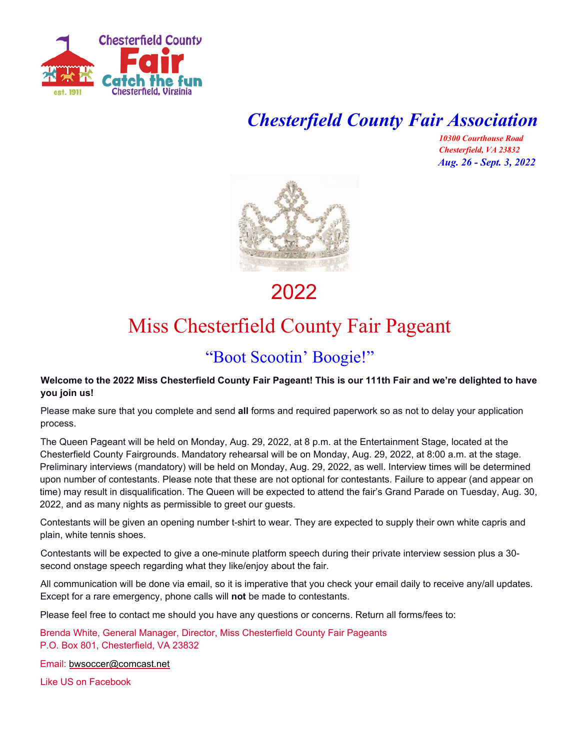

## *Chesterfield County Fair Association*

*10300 Courthouse Road Chesterfield, VA 23832 Aug. 26 - Sept. 3, 2022*



2022

## Miss Chesterfield County Fair Pageant

### "Boot Scootin' Boogie!"

#### **Welcome to the 2022 Miss Chesterfield County Fair Pageant! This is our 111th Fair and we're delighted to have you join us!**

Please make sure that you complete and send **all** forms and required paperwork so as not to delay your application process.

The Queen Pageant will be held on Monday, Aug. 29, 2022, at 8 p.m. at the Entertainment Stage, located at the Chesterfield County Fairgrounds. Mandatory rehearsal will be on Monday, Aug. 29, 2022, at 8:00 a.m. at the stage. Preliminary interviews (mandatory) will be held on Monday, Aug. 29, 2022, as well. Interview times will be determined upon number of contestants. Please note that these are not optional for contestants. Failure to appear (and appear on time) may result in disqualification. The Queen will be expected to attend the fair's Grand Parade on Tuesday, Aug. 30, 2022, and as many nights as permissible to greet our guests.

Contestants will be given an opening number t-shirt to wear. They are expected to supply their own white capris and plain, white tennis shoes.

Contestants will be expected to give a one-minute platform speech during their private interview session plus a 30 second onstage speech regarding what they like/enjoy about the fair.

All communication will be done via email, so it is imperative that you check your email daily to receive any/all updates. Except for a rare emergency, phone calls will **not** be made to contestants.

Please feel free to contact me should you have any questions or concerns. Return all forms/fees to:

Brenda White, General Manager, Director, Miss Chesterfield County Fair Pageants P.O. Box 801, Chesterfield, VA 23832

Email: [bwsoccer@comcast.net](mailto:bwsoccer@comcast.net)

Like US on Facebook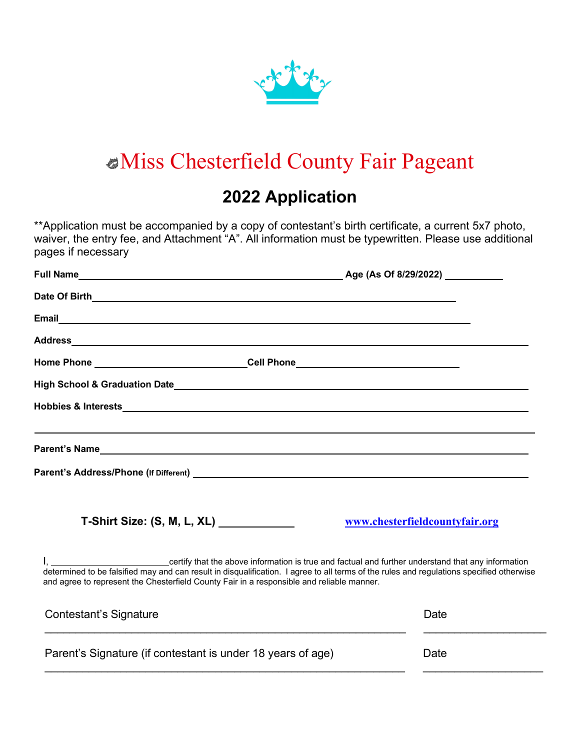

# Miss Chesterfield County Fair Pageant

### **2022 Application**

\*\*Application must be accompanied by a copy of contestant's birth certificate, a current 5x7 photo, waiver, the entry fee, and Attachment "A". All information must be typewritten. Please use additional pages if necessary

| Home Phone _______________________________Cell Phone____________________________          |                                                                                                                                                                                                                                                                                 |
|-------------------------------------------------------------------------------------------|---------------------------------------------------------------------------------------------------------------------------------------------------------------------------------------------------------------------------------------------------------------------------------|
|                                                                                           |                                                                                                                                                                                                                                                                                 |
|                                                                                           |                                                                                                                                                                                                                                                                                 |
|                                                                                           | ,我们也不会有什么。""我们的人,我们也不会有什么?""我们的人,我们也不会有什么?""我们的人,我们也不会有什么?""我们的人,我们也不会有什么?""我们的人                                                                                                                                                                                                |
|                                                                                           |                                                                                                                                                                                                                                                                                 |
| T-Shirt Size: (S, M, L, XL) ____________                                                  | www.chesterfieldcountyfair.org                                                                                                                                                                                                                                                  |
| and agree to represent the Chesterfield County Fair in a responsible and reliable manner. | I, ______________________________certify that the above information is true and factual and further understand that any information<br>determined to be falsified may and can result in disqualification. I agree to all terms of the rules and regulations specified otherwise |
| Contestant's Signature                                                                    | Date                                                                                                                                                                                                                                                                            |
| Parent's Signature (if contestant is under 18 years of age)                               | Date                                                                                                                                                                                                                                                                            |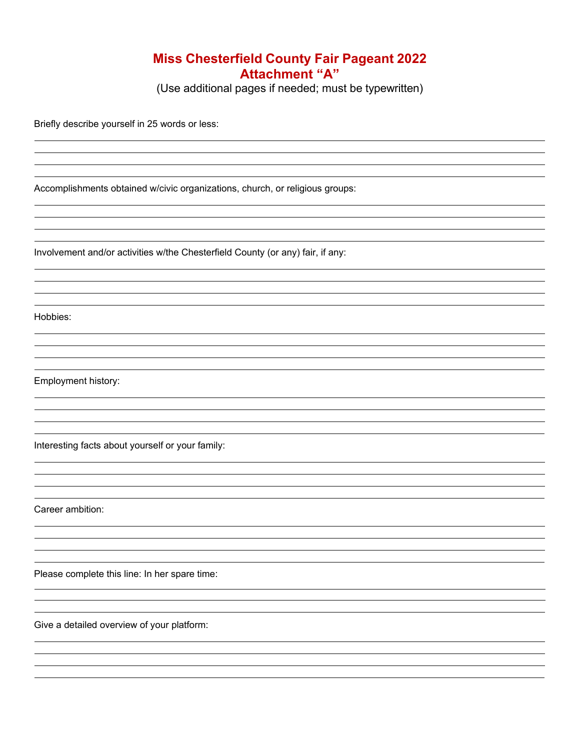#### **Miss Chesterfield County Fair Pageant 2022 Attachment "A"**

(Use additional pages if needed; must be typewritten)

Briefly describe yourself in 25 words or less:

Accomplishments obtained w/civic organizations, church, or religious groups:

Involvement and/or activities w/the Chesterfield County (or any) fair, if any:

Hobbies:

Employment history:

Interesting facts about yourself or your family:

Career ambition:

Please complete this line: In her spare time:

Give a detailed overview of your platform: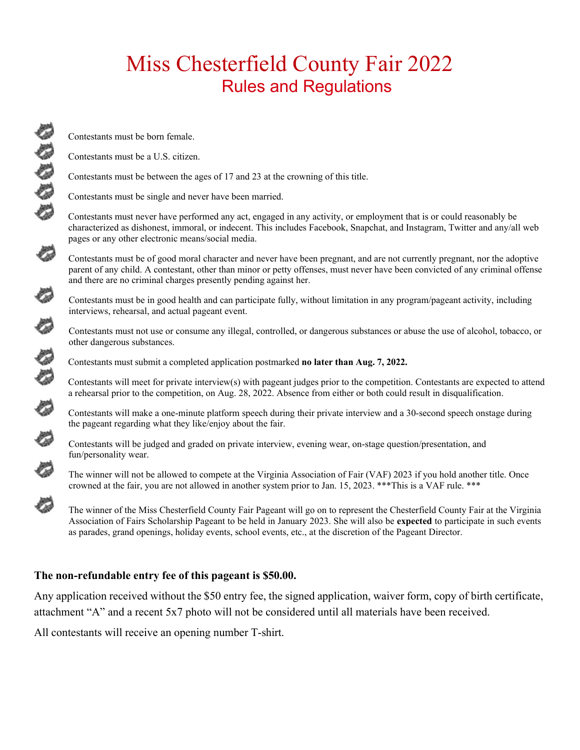## Miss Chesterfield County Fair 2022 Rules and Regulations

Contestants must be born female.

Contestants must be a U.S. citizen.

Contestants must be between the ages of 17 and 23 at the crowning of this title.

Contestants must be single and never have been married.

Contestants must never have performed any act, engaged in any activity, or employment that is or could reasonably be characterized as dishonest, immoral, or indecent. This includes Facebook, Snapchat, and Instagram, Twitter and any/all web pages or any other electronic means/social media.

 Contestants must be of good moral character and never have been pregnant, and are not currently pregnant, nor the adoptive parent of any child. A contestant, other than minor or petty offenses, must never have been convicted of any criminal offense and there are no criminal charges presently pending against her.

 Contestants must be in good health and can participate fully, without limitation in any program/pageant activity, including interviews, rehearsal, and actual pageant event.

other dangerous substances.

Contestants must submit a completed application postmarked **no later than Aug. 7, 2022.**

Contestants must not use or consume any illegal, controlled, or dangerous substances or abuse the use of alcohol, tobacco, or other dangerous substances.<br>Contestants must submit a completed application postmarked **no later** Contestants will meet for private interview(s) with pageant judges prior to the competition. Contestants are expected to attend a rehearsal prior to the competition, on Aug. 28, 2022. Absence from either or both could result in disqualification.

 Contestants will make a one-minute platform speech during their private interview and a 30-second speech onstage during the pageant regarding what they like/enjoy about the fair.

 Contestants will be judged and graded on private interview, evening wear, on-stage question/presentation, and fun/personality wear.

 The winner will not be allowed to compete at the Virginia Association of Fair (VAF) 2023 if you hold another title. Once crowned at the fair, you are not allowed in another system prior to Jan. 15, 2023. \*\*\*This is a VAF rule. \*\*\*

 The winner of the Miss Chesterfield County Fair Pageant will go on to represent the Chesterfield County Fair at the Virginia Association of Fairs Scholarship Pageant to be held in January 2023. She will also be **expected** to participate in such events as parades, grand openings, holiday events, school events, etc., at the discretion of the Pageant Director.

#### **The non-refundable entry fee of this pageant is \$50.00.**

Any application received without the \$50 entry fee, the signed application, waiver form, copy of birth certificate, attachment "A" and a recent 5x7 photo will not be considered until all materials have been received.

All contestants will receive an opening number T-shirt.